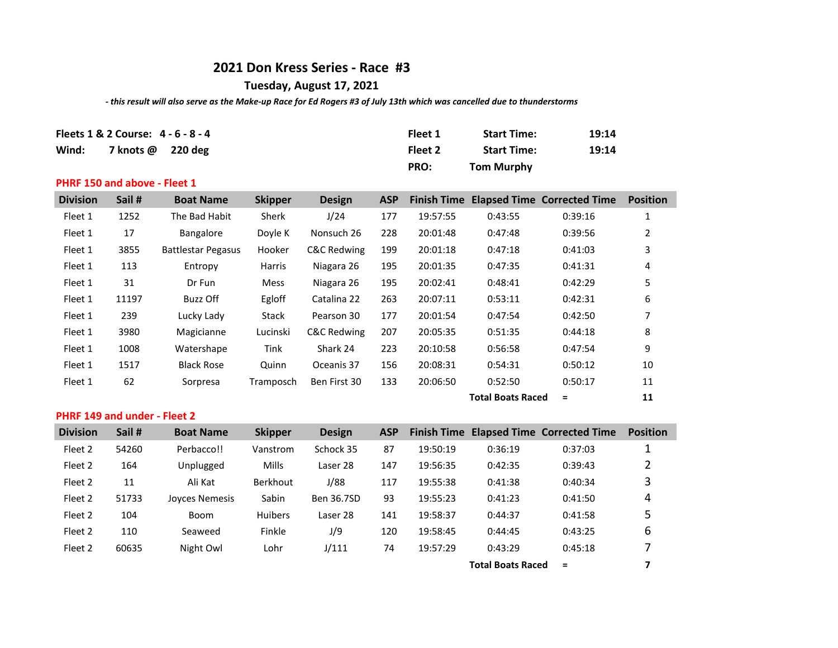## **2021 Don Kress Series - Race #3**

## **Tuesday, August 17, 2021**

 *- this result will also serve as the Make-up Race for Ed Rogers #3 of July 13th which was cancelled due to thunderstorms*

|       | Fleets 1 & 2 Course: 4 - 6 - 8 - 4 | Fleet 1 | <b>Start Time:</b> | 19:14 |
|-------|------------------------------------|---------|--------------------|-------|
| Wind: | 7 knots @ 220 deg                  | Fleet 2 | <b>Start Time:</b> | 19:14 |
|       |                                    | PRO:    | <b>Tom Murphy</b>  |       |

## **PHRF 150 and above - Fleet 1**

| <b>Division</b> | Sail # | <b>Boat Name</b>          | <b>Skipper</b> | <b>Design</b> | <b>ASP</b> | <b>Finish Time</b> |                          | <b>Elapsed Time Corrected Time</b> | <b>Position</b> |
|-----------------|--------|---------------------------|----------------|---------------|------------|--------------------|--------------------------|------------------------------------|-----------------|
| Fleet 1         | 1252   | The Bad Habit             | Sherk          | J/24          | 177        | 19:57:55           | 0:43:55                  | 0:39:16                            | 1               |
| Fleet 1         | 17     | Bangalore                 | Doyle K        | Nonsuch 26    | 228        | 20:01:48           | 0:47:48                  | 0:39:56                            | 2               |
| Fleet 1         | 3855   | <b>Battlestar Pegasus</b> | Hooker         | C&C Redwing   | 199        | 20:01:18           | 0:47:18                  | 0:41:03                            | 3               |
| Fleet 1         | 113    | Entropy                   | <b>Harris</b>  | Niagara 26    | 195        | 20:01:35           | 0:47:35                  | 0:41:31                            | 4               |
| Fleet 1         | 31     | Dr Fun                    | Mess           | Niagara 26    | 195        | 20:02:41           | 0:48:41                  | 0:42:29                            | 5               |
| Fleet 1         | 11197  | Buzz Off                  | Egloff         | Catalina 22   | 263        | 20:07:11           | 0:53:11                  | 0:42:31                            | 6               |
| Fleet 1         | 239    | Lucky Lady                | <b>Stack</b>   | Pearson 30    | 177        | 20:01:54           | 0:47:54                  | 0:42:50                            | 7               |
| Fleet 1         | 3980   | Magicianne                | Lucinski       | C&C Redwing   | 207        | 20:05:35           | 0:51:35                  | 0:44:18                            | 8               |
| Fleet 1         | 1008   | Watershape                | Tink           | Shark 24      | 223        | 20:10:58           | 0:56:58                  | 0:47:54                            | 9               |
| Fleet 1         | 1517   | <b>Black Rose</b>         | Quinn          | Oceanis 37    | 156        | 20:08:31           | 0:54:31                  | 0:50:12                            | 10              |
| Fleet 1         | 62     | Sorpresa                  | Tramposch      | Ben First 30  | 133        | 20:06:50           | 0:52:50                  | 0:50:17                            | 11              |
|                 |        |                           |                |               |            |                    | <b>Total Boats Raced</b> | Ξ                                  | 11              |

## **PHRF 149 and under - Fleet 2**

| <b>Division</b> | Sail # | <b>Boat Name</b> | <b>Skipper</b>  | <b>Design</b> | <b>ASP</b> |          | <b>Finish Time Elapsed Time Corrected Time</b> |          | <b>Position</b> |
|-----------------|--------|------------------|-----------------|---------------|------------|----------|------------------------------------------------|----------|-----------------|
| Fleet 2         | 54260  | Perbacco!!       | Vanstrom        | Schock 35     | 87         | 19:50:19 | 0:36:19                                        | 0:37:03  |                 |
| Fleet 2         | 164    | Unplugged        | Mills           | Laser 28      | 147        | 19:56:35 | 0:42:35                                        | 0:39:43  | $\overline{2}$  |
| Fleet 2         | 11     | Ali Kat          | <b>Berkhout</b> | J/88          | 117        | 19:55:38 | 0:41:38                                        | 0:40:34  | 3               |
| Fleet 2         | 51733  | Joyces Nemesis   | Sabin           | Ben 36.7SD    | 93         | 19:55:23 | 0:41:23                                        | 0:41:50  | 4               |
| Fleet 2         | 104    | <b>Boom</b>      | <b>Huibers</b>  | Laser 28      | 141        | 19:58:37 | 0:44:37                                        | 0:41:58  | 5               |
| Fleet 2         | 110    | Seaweed          | Finkle          | J/9           | 120        | 19:58:45 | 0:44:45                                        | 0:43:25  | 6               |
| Fleet 2         | 60635  | Night Owl        | Lohr            | J/111         | 74         | 19:57:29 | 0:43:29                                        | 0:45:18  |                 |
|                 |        |                  |                 |               |            |          | <b>Total Boats Raced</b>                       | $\equiv$ |                 |